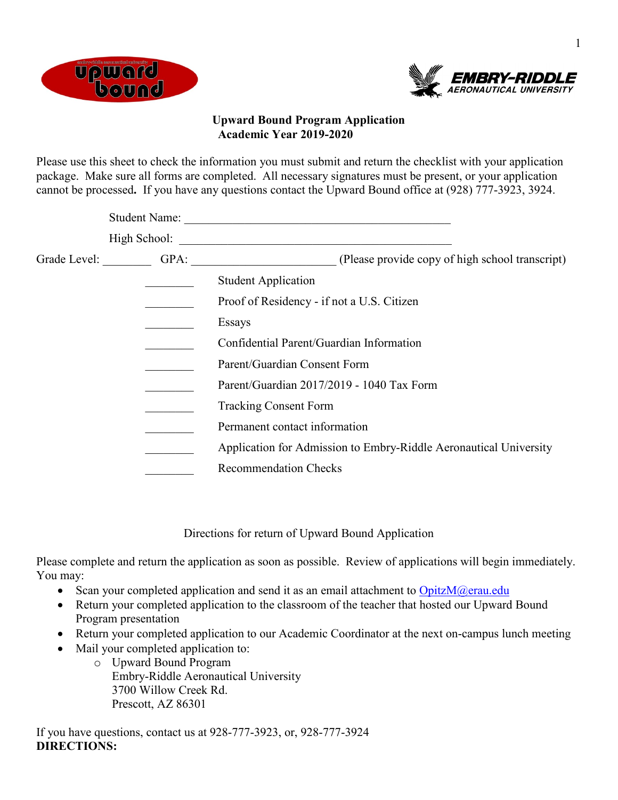



## **Upward Bound Program Application Academic Year 2019-2020**

Please use this sheet to check the information you must submit and return the checklist with your application package. Make sure all forms are completed. All necessary signatures must be present, or your application cannot be processed**.** If you have any questions contact the Upward Bound office at (928) 777-3923, 3924.

| <b>Student Name:</b> |                                                                                                      |
|----------------------|------------------------------------------------------------------------------------------------------|
|                      |                                                                                                      |
| Grade Level: GPA:    | (Please provide copy of high school transcript)<br><u> 1980 - Johann Barbara, martxa alemaniar a</u> |
|                      | <b>Student Application</b>                                                                           |
|                      | Proof of Residency - if not a U.S. Citizen                                                           |
|                      | Essays                                                                                               |
|                      | Confidential Parent/Guardian Information                                                             |
|                      | Parent/Guardian Consent Form                                                                         |
|                      | Parent/Guardian 2017/2019 - 1040 Tax Form                                                            |
|                      | <b>Tracking Consent Form</b>                                                                         |
|                      | Permanent contact information                                                                        |
|                      | Application for Admission to Embry-Riddle Aeronautical University                                    |
|                      | <b>Recommendation Checks</b>                                                                         |
|                      |                                                                                                      |

Directions for return of Upward Bound Application

Please complete and return the application as soon as possible. Review of applications will begin immediately. You may:

- Scan your completed application and send it as an email attachment to  $OpizM@erau.edu$
- Return your completed application to the classroom of the teacher that hosted our Upward Bound Program presentation
- Return your completed application to our Academic Coordinator at the next on-campus lunch meeting
- Mail your completed application to:
	- o Upward Bound Program Embry-Riddle Aeronautical University 3700 Willow Creek Rd. Prescott, AZ 86301

If you have questions, contact us at 928-777-3923, or, 928-777-3924 **DIRECTIONS:**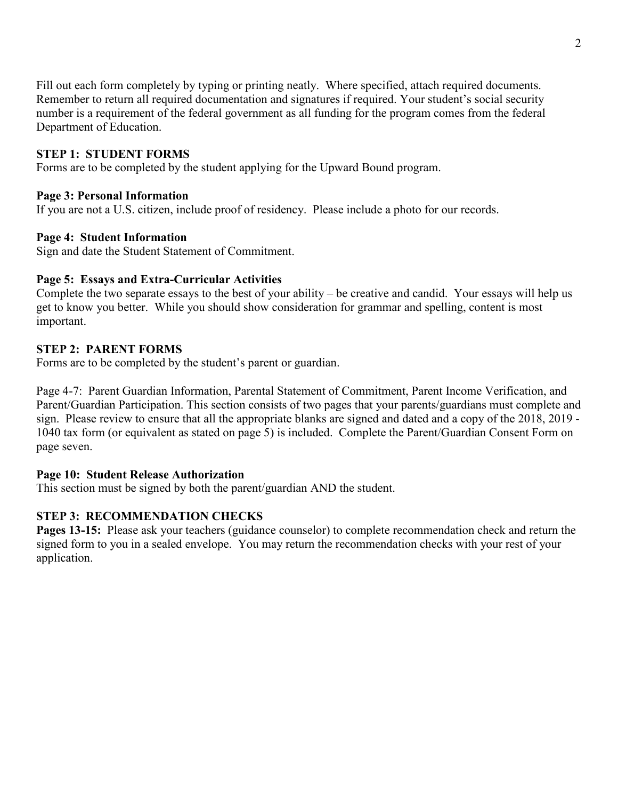Fill out each form completely by typing or printing neatly. Where specified, attach required documents. Remember to return all required documentation and signatures if required. Your student's social security number is a requirement of the federal government as all funding for the program comes from the federal Department of Education.

## **STEP 1: STUDENT FORMS**

Forms are to be completed by the student applying for the Upward Bound program.

#### **Page 3: Personal Information**

If you are not a U.S. citizen, include proof of residency. Please include a photo for our records.

#### **Page 4: Student Information**

Sign and date the Student Statement of Commitment.

#### **Page 5: Essays and Extra-Curricular Activities**

Complete the two separate essays to the best of your ability – be creative and candid. Your essays will help us get to know you better. While you should show consideration for grammar and spelling, content is most important.

#### **STEP 2: PARENT FORMS**

Forms are to be completed by the student's parent or guardian.

Page 4-7: Parent Guardian Information, Parental Statement of Commitment, Parent Income Verification, and Parent/Guardian Participation. This section consists of two pages that your parents/guardians must complete and sign. Please review to ensure that all the appropriate blanks are signed and dated and a copy of the 2018, 2019 - 1040 tax form (or equivalent as stated on page 5) is included. Complete the Parent/Guardian Consent Form on page seven.

#### **Page 10: Student Release Authorization**

This section must be signed by both the parent/guardian AND the student.

## **STEP 3: RECOMMENDATION CHECKS**

**Pages 13-15:** Please ask your teachers (guidance counselor) to complete recommendation check and return the signed form to you in a sealed envelope. You may return the recommendation checks with your rest of your application.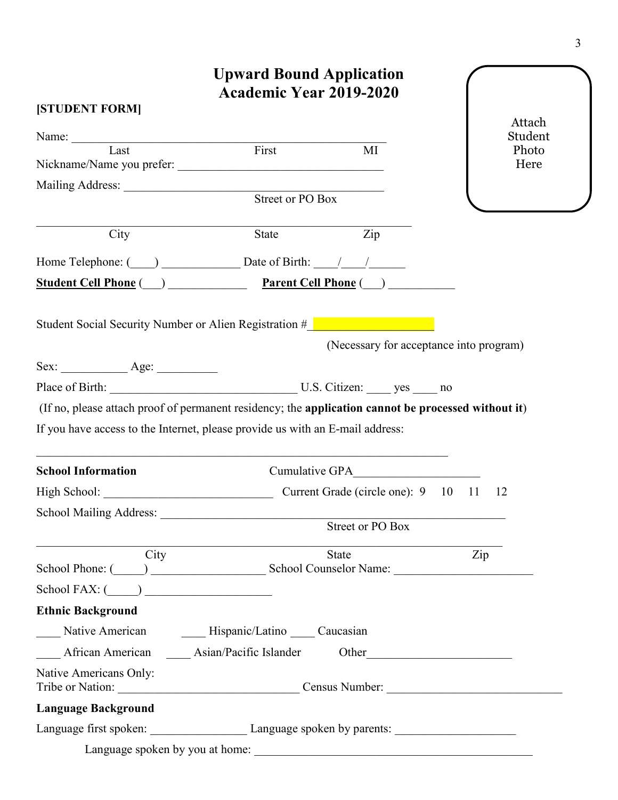| [STUDENT FORM]             | <b>Upward Bound Application</b><br><b>Academic Year 2019-2020</b>                                                                                                                                                              |     |                   |
|----------------------------|--------------------------------------------------------------------------------------------------------------------------------------------------------------------------------------------------------------------------------|-----|-------------------|
|                            |                                                                                                                                                                                                                                |     | Attach<br>Student |
|                            | Name: Last First<br>$\overline{MI}$                                                                                                                                                                                            |     | Photo             |
|                            |                                                                                                                                                                                                                                |     | Here              |
|                            | Street or PO Box                                                                                                                                                                                                               |     |                   |
|                            |                                                                                                                                                                                                                                |     |                   |
| City                       | $\overline{Zip}$<br>State                                                                                                                                                                                                      |     |                   |
|                            | Home Telephone: $\qquad \qquad$ Date of Birth: $\qquad \qquad / \qquad / \qquad$                                                                                                                                               |     |                   |
|                            | Student Cell Phone (Department Cell Phone (Department Cell Phone (Department Cell Phone (Department Cell Phone (Department Cell Phone (Department Cell Phone (Department Cell Phone (Department Cell Phone (Department Cell Ph |     |                   |
|                            | Student Social Security Number or Alien Registration #<br>(Necessary for acceptance into program)                                                                                                                              |     |                   |
|                            |                                                                                                                                                                                                                                |     |                   |
|                            | Place of Birth: U.S. Citizen: yes ______ no                                                                                                                                                                                    |     |                   |
|                            | (If no, please attach proof of permanent residency; the application cannot be processed without it)                                                                                                                            |     |                   |
|                            | If you have access to the Internet, please provide us with an E-mail address:                                                                                                                                                  |     |                   |
| <b>School Information</b>  |                                                                                                                                                                                                                                |     |                   |
|                            | Current Grade (circle one): 9 10 11                                                                                                                                                                                            |     | 12                |
|                            |                                                                                                                                                                                                                                |     |                   |
|                            | Street or PO Box                                                                                                                                                                                                               |     |                   |
| City                       | <b>State</b>                                                                                                                                                                                                                   | Zip |                   |
|                            | School Phone: (Champion Counselor Name: Champion Counselor Name: Champion Counselor Name: Champion Counselor Name: Champion Counselor Name: Champion Counselor Name: Champion Counselor Name: Champion Counselor Name: Champio |     |                   |
| $School FAX: (\_\_)$       |                                                                                                                                                                                                                                |     |                   |
| <b>Ethnic Background</b>   |                                                                                                                                                                                                                                |     |                   |
|                            | Native American Mispanic/Latino Caucasian                                                                                                                                                                                      |     |                   |
|                            | African American ______ Asian/Pacific Islander Other ____________________________                                                                                                                                              |     |                   |
| Native Americans Only:     | Tribe or Nation: Census Number: Census Number:                                                                                                                                                                                 |     |                   |
| <b>Language Background</b> |                                                                                                                                                                                                                                |     |                   |
|                            | Language first spoken: Language spoken by parents: Language spoken by parents:                                                                                                                                                 |     |                   |
|                            |                                                                                                                                                                                                                                |     |                   |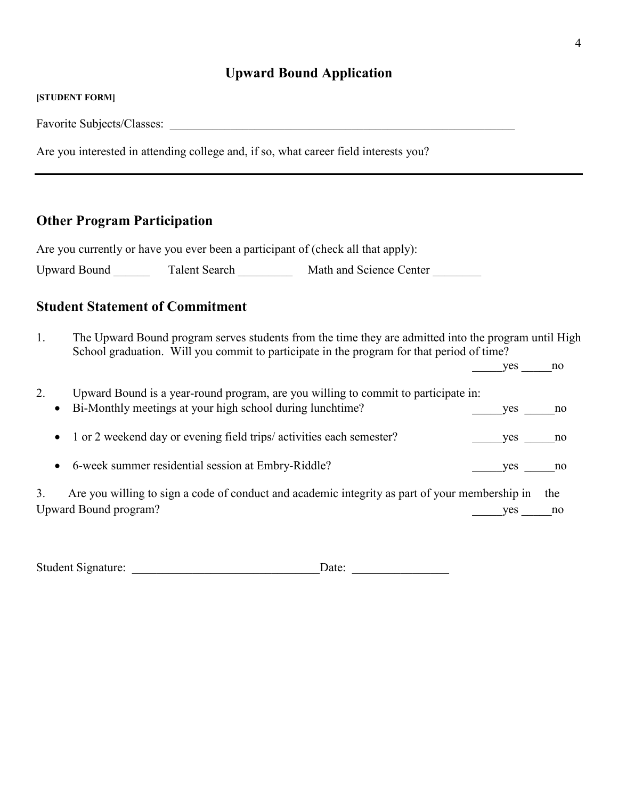#### **[STUDENT FORM]**

Favorite Subjects/Classes:

Are you interested in attending college and, if so, what career field interests you?

# **Other Program Participation**

Are you currently or have you ever been a participant of (check all that apply):

Upward Bound \_\_\_\_\_\_\_\_ Talent Search \_\_\_\_\_\_\_\_\_\_ Math and Science Center \_\_\_\_\_\_\_\_\_

# **Student Statement of Commitment**

1. The Upward Bound program serves students from the time they are admitted into the program until High School graduation. Will you commit to participate in the program for that period of time?

 $yes$  no

| Bi-Monthly meetings at your high school during lunchtime? | <b>ves</b>                                                                                                               | no                                                                                                                                                                                   |
|-----------------------------------------------------------|--------------------------------------------------------------------------------------------------------------------------|--------------------------------------------------------------------------------------------------------------------------------------------------------------------------------------|
|                                                           | ves                                                                                                                      | no.                                                                                                                                                                                  |
| 6-week summer residential session at Embry-Riddle?        | ves                                                                                                                      | no                                                                                                                                                                                   |
|                                                           | ves                                                                                                                      | the<br>no                                                                                                                                                                            |
|                                                           | $\bullet$<br>• 1 or 2 weekend day or evening field trips/activities each semester?<br>$\bullet$<br>Upward Bound program? | Upward Bound is a year-round program, are you willing to commit to participate in:<br>Are you willing to sign a code of conduct and academic integrity as part of your membership in |

Student Signature: \_\_\_\_\_\_\_\_\_\_\_\_\_\_\_\_\_\_\_\_\_\_\_\_\_\_\_\_\_\_\_Date: \_\_\_\_\_\_\_\_\_\_\_\_\_\_\_\_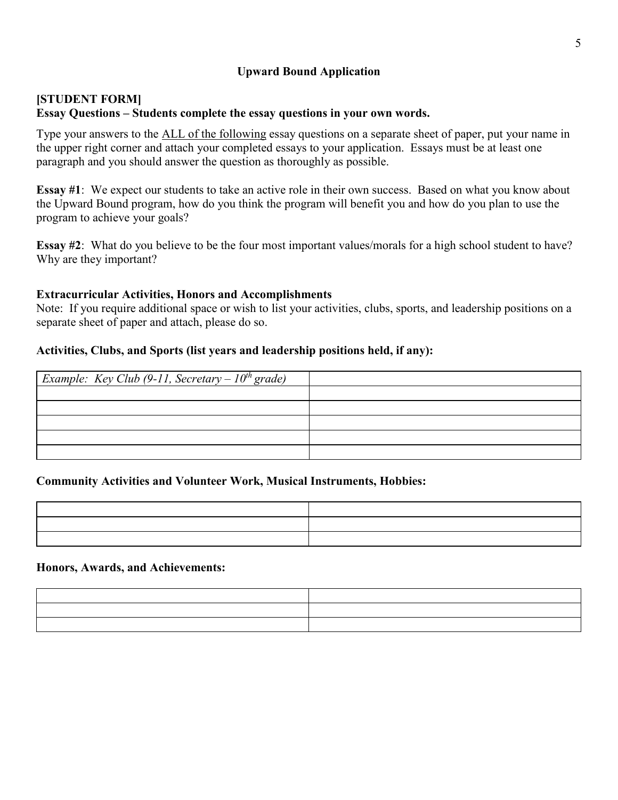## **[STUDENT FORM] Essay Questions – Students complete the essay questions in your own words.**

Type your answers to the ALL of the following essay questions on a separate sheet of paper, put your name in the upper right corner and attach your completed essays to your application. Essays must be at least one paragraph and you should answer the question as thoroughly as possible.

**Essay #1**: We expect our students to take an active role in their own success. Based on what you know about the Upward Bound program, how do you think the program will benefit you and how do you plan to use the program to achieve your goals?

**Essay #2:** What do you believe to be the four most important values/morals for a high school student to have? Why are they important?

## **Extracurricular Activities, Honors and Accomplishments**

Note: If you require additional space or wish to list your activities, clubs, sports, and leadership positions on a separate sheet of paper and attach, please do so.

## **Activities, Clubs, and Sports (list years and leadership positions held, if any):**

| <i>Example: Key Club (9-11, Secretary – <math>10^{th}</math> grade)</i> |  |
|-------------------------------------------------------------------------|--|
|                                                                         |  |
|                                                                         |  |
|                                                                         |  |
|                                                                         |  |
|                                                                         |  |

#### **Community Activities and Volunteer Work, Musical Instruments, Hobbies:**

| <u> El seu de la contrada de la contrada de la contrada de la contrada de la contrada de la contrada de la contra</u> | the contract of the contract of the contract of |
|-----------------------------------------------------------------------------------------------------------------------|-------------------------------------------------|
|                                                                                                                       |                                                 |
| <u> 1989 - Andrea Andrew Maria (h. 1989).</u>                                                                         |                                                 |

#### **Honors, Awards, and Achievements:**

| the contract of the contract of the contract of the contract of the contract of | the contract of the contract of the contract of the contract of the contract of |
|---------------------------------------------------------------------------------|---------------------------------------------------------------------------------|
|                                                                                 |                                                                                 |
|                                                                                 |                                                                                 |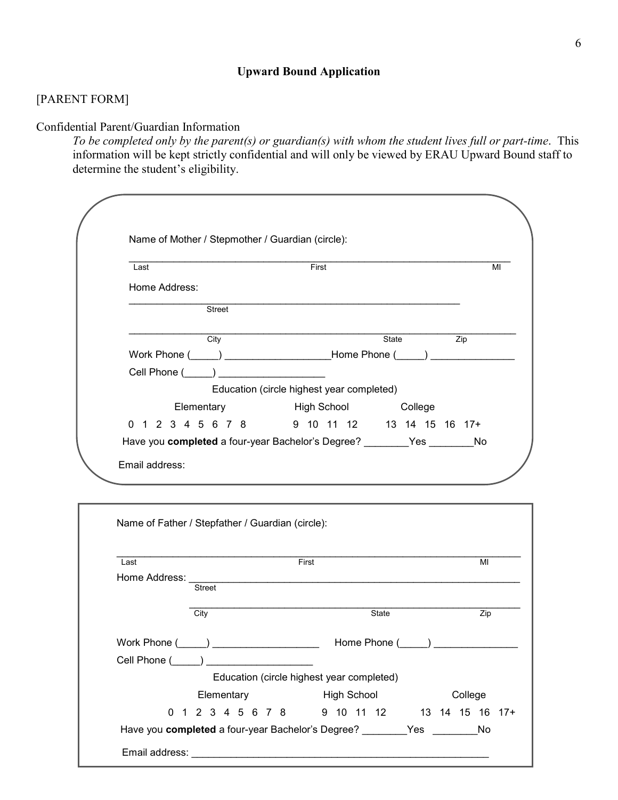## [PARENT FORM]

Confidential Parent/Guardian Information

*To be completed only by the parent(s) or guardian(s) with whom the student lives full or part-time*. This information will be kept strictly confidential and will only be viewed by ERAU Upward Bound staff to determine the student's eligibility.

| Last                                    | First                                                                                                                                                                                                                          |              |
|-----------------------------------------|--------------------------------------------------------------------------------------------------------------------------------------------------------------------------------------------------------------------------------|--------------|
| Home Address:                           |                                                                                                                                                                                                                                |              |
| <b>Street</b>                           |                                                                                                                                                                                                                                |              |
| City                                    |                                                                                                                                                                                                                                | State<br>Zip |
|                                         | Work Phone (Company Company Company Company Phone (Company Company Company Company Company Company Company Company Company Company Company Company Company Company Company Company Company Company Company Company Company Com |              |
| Cell Phone (_____) ____________________ |                                                                                                                                                                                                                                |              |
|                                         | Education (circle highest year completed)                                                                                                                                                                                      |              |
| Elementary                              | <b>Example 13 High School</b> College                                                                                                                                                                                          |              |
|                                         | 0 1 2 3 4 5 6 7 8 9 10 11 12 13 14 15 16 17+                                                                                                                                                                                   |              |
|                                         | Have you completed a four-year Bachelor's Degree? ________Yes ________No                                                                                                                                                       |              |
| Email address:                          |                                                                                                                                                                                                                                |              |
|                                         |                                                                                                                                                                                                                                |              |

| Home Address:<br><b>Street</b>                               |                                           |  |         |
|--------------------------------------------------------------|-------------------------------------------|--|---------|
| City                                                         | State                                     |  | Zip     |
| Work Phone $(\_\_\_\_\_\_\_\_\_$                             |                                           |  |         |
| Cell Phone ( )                                               |                                           |  |         |
|                                                              | Education (circle highest year completed) |  |         |
| Elementary                                                   | <b>High School</b>                        |  | College |
| 0 1 2 3 4 5 6 7 8 9 10 11 12 13 14 15 16 17+                 |                                           |  |         |
| Have you completed a four-year Bachelor's Degree? The Yes No |                                           |  |         |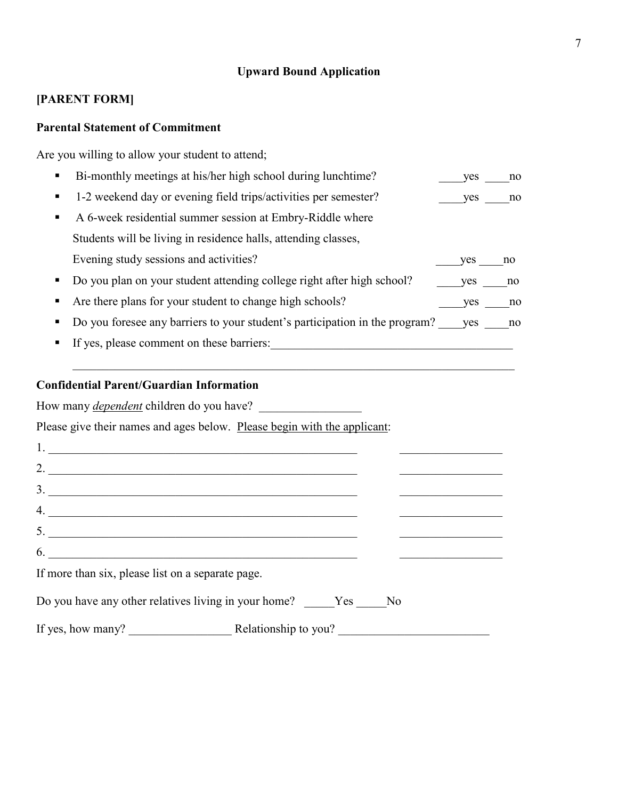# **[PARENT FORM]**

# **Parental Statement of Commitment**

Are you willing to allow your student to attend;

| Bi-monthly meetings at his/her high school during lunchtime?                | yes        | no |
|-----------------------------------------------------------------------------|------------|----|
| 1-2 weekend day or evening field trips/activities per semester?             | yes        | no |
| A 6-week residential summer session at Embry-Riddle where                   |            |    |
| Students will be living in residence halls, attending classes,              |            |    |
| Evening study sessions and activities?                                      | <b>ves</b> | no |
| Do you plan on your student attending college right after high school?      | <b>ves</b> | no |
| Are there plans for your student to change high schools?                    | <b>ves</b> | no |
| Do you foresee any barriers to your student's participation in the program? | ves        | no |
| If yes, please comment on these barriers:                                   |            |    |
|                                                                             |            |    |

 $\mathcal{L}_\mathcal{L} = \{ \mathcal{L}_\mathcal{L} = \{ \mathcal{L}_\mathcal{L} = \{ \mathcal{L}_\mathcal{L} = \{ \mathcal{L}_\mathcal{L} = \{ \mathcal{L}_\mathcal{L} = \{ \mathcal{L}_\mathcal{L} = \{ \mathcal{L}_\mathcal{L} = \{ \mathcal{L}_\mathcal{L} = \{ \mathcal{L}_\mathcal{L} = \{ \mathcal{L}_\mathcal{L} = \{ \mathcal{L}_\mathcal{L} = \{ \mathcal{L}_\mathcal{L} = \{ \mathcal{L}_\mathcal{L} = \{ \mathcal{L}_\mathcal{$ 

# **Confidential Parent/Guardian Information**

How many *dependent* children do you have?

Please give their names and ages below. Please begin with the applicant:

| 2.                                                                                                                                                                                                                                                                                                                                                                  |  |  |
|---------------------------------------------------------------------------------------------------------------------------------------------------------------------------------------------------------------------------------------------------------------------------------------------------------------------------------------------------------------------|--|--|
| 3.                                                                                                                                                                                                                                                                                                                                                                  |  |  |
| $\begin{picture}(20,10) \put(0,0){\vector(1,0){100}} \put(15,0){\vector(1,0){100}} \put(15,0){\vector(1,0){100}} \put(15,0){\vector(1,0){100}} \put(15,0){\vector(1,0){100}} \put(15,0){\vector(1,0){100}} \put(15,0){\vector(1,0){100}} \put(15,0){\vector(1,0){100}} \put(15,0){\vector(1,0){100}} \put(15,0){\vector(1,0){100}} \put(15,0){\vector(1,0){100}} \$ |  |  |
| $5.$ $\overline{\phantom{a}}$                                                                                                                                                                                                                                                                                                                                       |  |  |
| $\overline{6}$ .                                                                                                                                                                                                                                                                                                                                                    |  |  |
| If more than six, please list on a separate page.                                                                                                                                                                                                                                                                                                                   |  |  |
| Do you have any other relatives living in your home? ______Yes ______No                                                                                                                                                                                                                                                                                             |  |  |
| If yes, how many? Relationship to you?                                                                                                                                                                                                                                                                                                                              |  |  |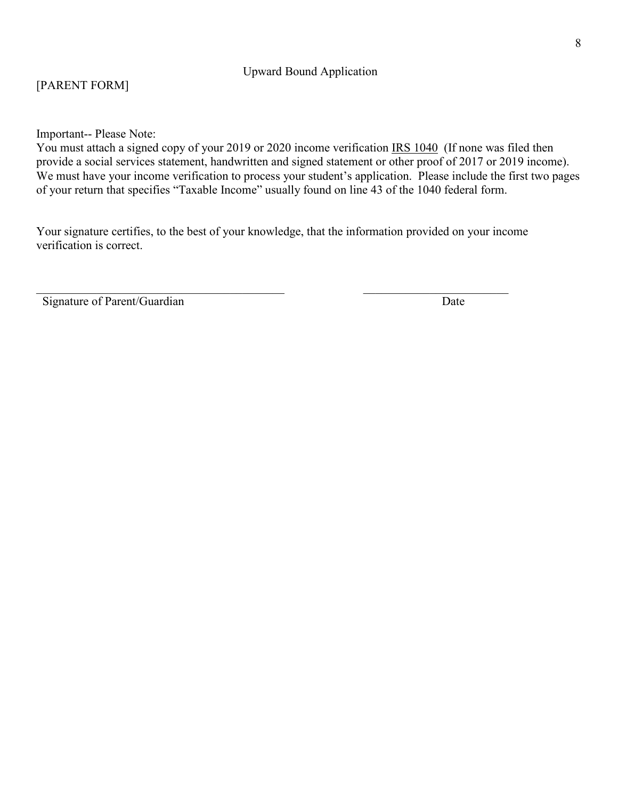## [PARENT FORM]

Important-- Please Note:

You must attach a signed copy of your 2019 or 2020 income verification IRS 1040 (If none was filed then provide a social services statement, handwritten and signed statement or other proof of 2017 or 2019 income). We must have your income verification to process your student's application. Please include the first two pages of your return that specifies "Taxable Income" usually found on line 43 of the 1040 federal form.

Your signature certifies, to the best of your knowledge, that the information provided on your income verification is correct.

 $\_$ 

Signature of Parent/Guardian Date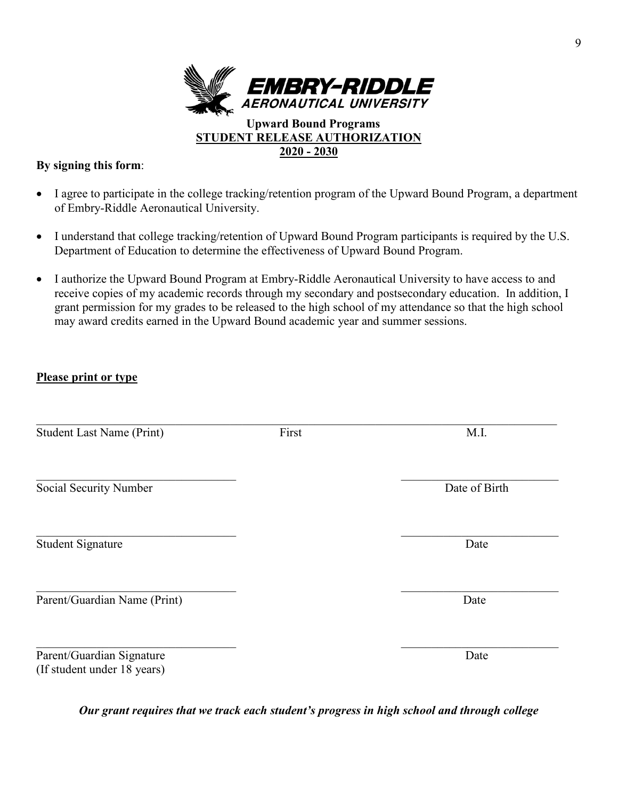

## **By signing this form**:

- I agree to participate in the college tracking/retention program of the Upward Bound Program, a department of Embry-Riddle Aeronautical University.
- I understand that college tracking/retention of Upward Bound Program participants is required by the U.S. Department of Education to determine the effectiveness of Upward Bound Program.
- I authorize the Upward Bound Program at Embry-Riddle Aeronautical University to have access to and receive copies of my academic records through my secondary and postsecondary education. In addition, I grant permission for my grades to be released to the high school of my attendance so that the high school may award credits earned in the Upward Bound academic year and summer sessions.

## **Please print or type**

| <b>Student Last Name (Print)</b>                         | First | M.I.          |
|----------------------------------------------------------|-------|---------------|
| Social Security Number                                   |       | Date of Birth |
| <b>Student Signature</b>                                 |       | Date          |
| Parent/Guardian Name (Print)                             |       | Date          |
| Parent/Guardian Signature<br>(If student under 18 years) |       | Date          |

*Our grant requires that we track each student's progress in high school and through college*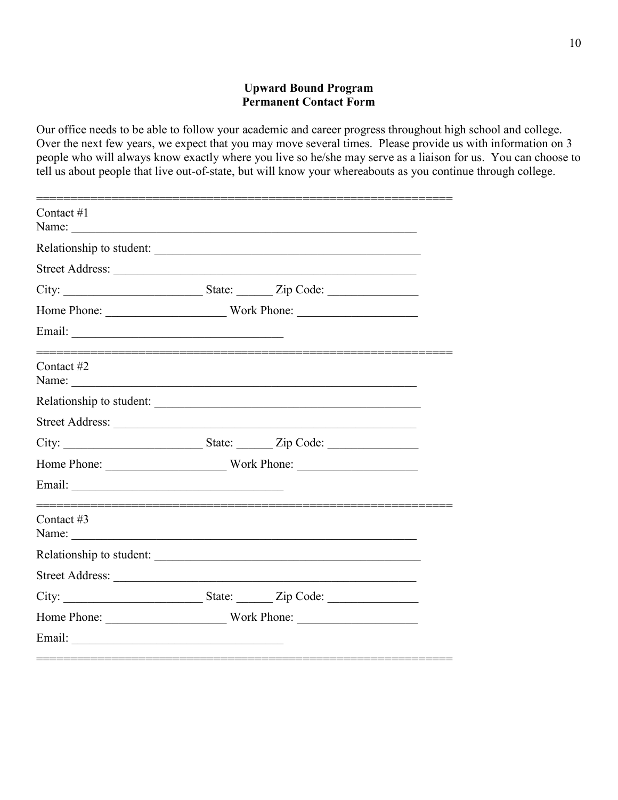## **Upward Bound Program Permanent Contact Form**

Our office needs to be able to follow your academic and career progress throughout high school and college. Over the next few years, we expect that you may move several times. Please provide us with information on 3 people who will always know exactly where you live so he/she may serve as a liaison for us. You can choose to tell us about people that live out-of-state, but will know your whereabouts as you continue through college.

| Contact $#1$<br>Name: $\frac{1}{2}$ |  |  |
|-------------------------------------|--|--|
| Relationship to student:            |  |  |
|                                     |  |  |
|                                     |  |  |
| Home Phone: Work Phone:             |  |  |
|                                     |  |  |
| Contact #2                          |  |  |
| Relationship to student:            |  |  |
|                                     |  |  |
|                                     |  |  |
|                                     |  |  |
|                                     |  |  |
| Contact #3                          |  |  |
| Relationship to student:            |  |  |
|                                     |  |  |
|                                     |  |  |
|                                     |  |  |
|                                     |  |  |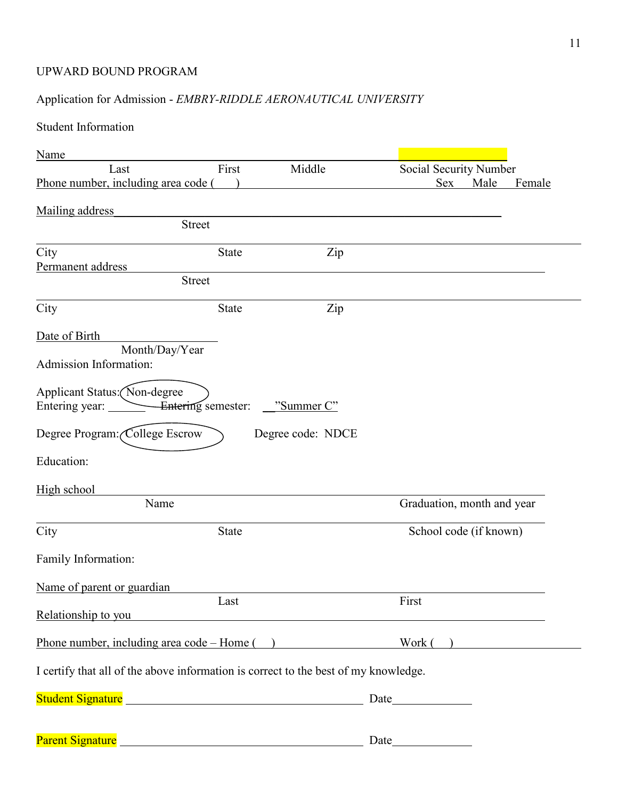## UPWARD BOUND PROGRAM

# Application for Admission - *EMBRY-RIDDLE AERONAUTICAL UNIVERSITY*

# Student Information

| Name                                                                                |                    |                   |                            |
|-------------------------------------------------------------------------------------|--------------------|-------------------|----------------------------|
| Last                                                                                | First              | Middle            | Social Security Number     |
| Phone number, including area code (                                                 |                    |                   | Sex<br>Male<br>Female      |
|                                                                                     |                    |                   |                            |
| Mailing address                                                                     |                    |                   |                            |
|                                                                                     | <b>Street</b>      |                   |                            |
| City                                                                                | <b>State</b>       | Zip               |                            |
| Permanent address                                                                   |                    |                   |                            |
|                                                                                     | <b>Street</b>      |                   |                            |
| City                                                                                | <b>State</b>       | Zip               |                            |
| Date of Birth                                                                       |                    |                   |                            |
| Month/Day/Year                                                                      |                    |                   |                            |
| Admission Information:                                                              |                    |                   |                            |
| Applicant Status: (Non-degree                                                       |                    |                   |                            |
| Entering year:                                                                      | Entering semester: | "Summer C"        |                            |
|                                                                                     |                    |                   |                            |
| Degree Program: College Escrow                                                      |                    | Degree code: NDCE |                            |
| Education:                                                                          |                    |                   |                            |
| High school                                                                         |                    |                   |                            |
| Name                                                                                |                    |                   | Graduation, month and year |
| City                                                                                | <b>State</b>       |                   | School code (if known)     |
|                                                                                     |                    |                   |                            |
| Family Information:                                                                 |                    |                   |                            |
| Name of parent or guardian                                                          |                    |                   |                            |
|                                                                                     | Last               |                   | First                      |
| Relationship to you                                                                 |                    |                   |                            |
| Phone number, including area code – Home ()                                         |                    |                   | Work( )                    |
| I certify that all of the above information is correct to the best of my knowledge. |                    |                   |                            |
|                                                                                     |                    |                   |                            |
| Student Signature <b>Subset of Student Signature</b> and Student Signature          |                    |                   |                            |
|                                                                                     |                    |                   |                            |
|                                                                                     |                    |                   |                            |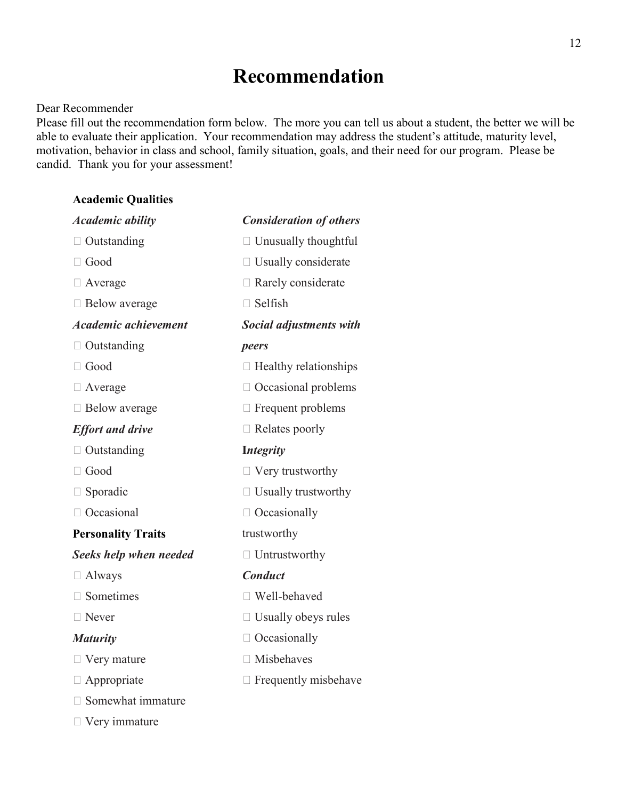# **Recommendation**

#### Dear Recommender

Please fill out the recommendation form below. The more you can tell us about a student, the better we will be able to evaluate their application. Your recommendation may address the student's attitude, maturity level, motivation, behavior in class and school, family situation, goals, and their need for our program. Please be candid. Thank you for your assessment!

#### **Academic Qualities**

| <b>Academic ability</b>     | <b>Consideration of others</b> |
|-----------------------------|--------------------------------|
| $\Box$ Outstanding          | $\Box$ Unusually thoughtful    |
| $\Box$ Good                 | $\Box$ Usually considerate     |
| $\Box$ Average              | $\Box$ Rarely considerate      |
| $\Box$ Below average        | $\Box$ Selfish                 |
| <b>Academic achievement</b> | Social adjustments with        |
| $\Box$ Outstanding          | peers                          |
| $\Box$ Good                 | $\Box$ Healthy relationships   |
| $\Box$ Average              | $\Box$ Occasional problems     |
| □ Below average             | $\Box$ Frequent problems       |
| <b>Effort and drive</b>     | $\Box$ Relates poorly          |
| $\Box$ Outstanding          | <b>Integrity</b>               |
| $\Box$ Good                 | $\Box$ Very trustworthy        |
| $\Box$ Sporadic             | $\Box$ Usually trustworthy     |
| □ Occasional                | $\Box$ Occasionally            |
| <b>Personality Traits</b>   | trustworthy                    |
| Seeks help when needed      | $\Box$ Untrustworthy           |
| $\Box$ Always               | <b>Conduct</b>                 |
| Sometimes                   | □ Well-behaved                 |
| Never                       | $\Box$ Usually obeys rules     |
| <b>Maturity</b>             | $\Box$ Occasionally            |
| $\Box$ Very mature          | $\Box$ Misbehaves              |
| Appropriate                 | $\Box$ Frequently misbehave    |
| □ Somewhat immature         |                                |
| $\Box$ Very immature        |                                |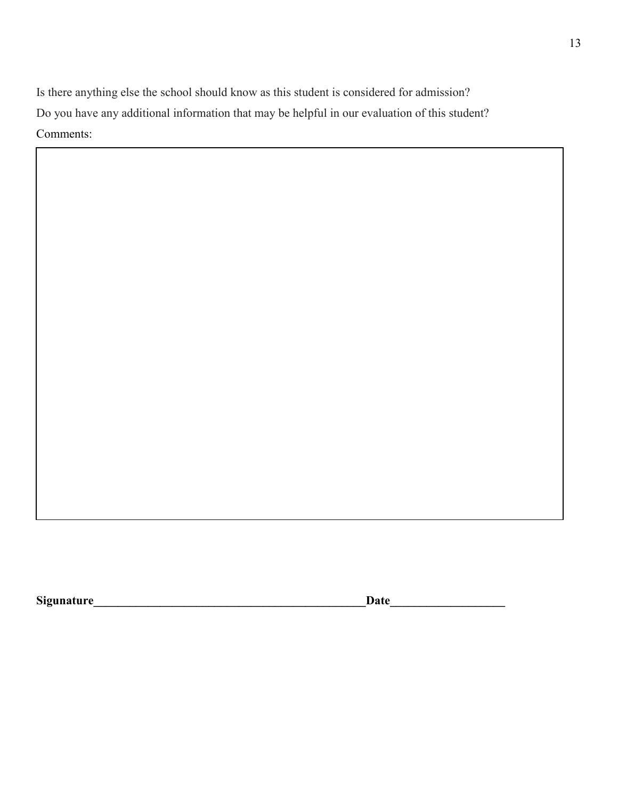Is there anything else the school should know as this student is considered for admission? Do you have any additional information that may be helpful in our evaluation of this student? Comments:

**Sigunature Date**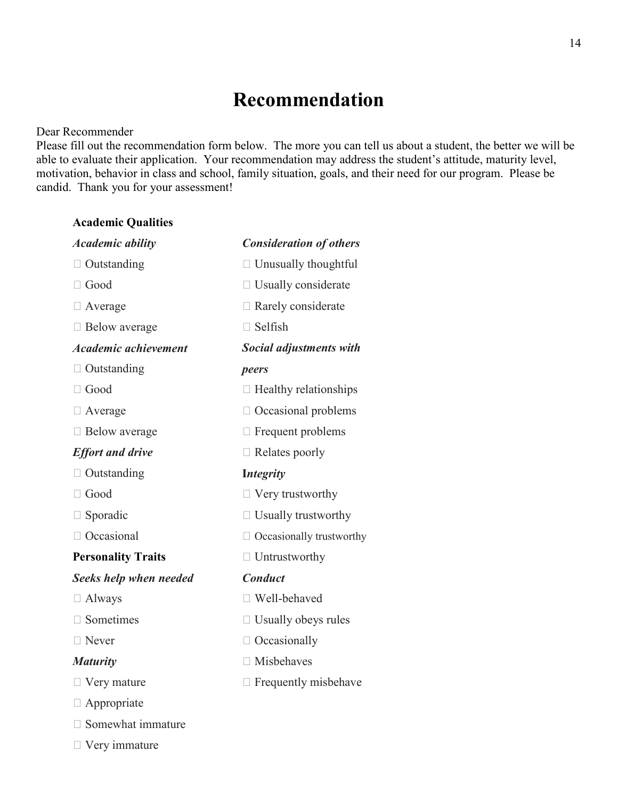# **Recommendation**

#### Dear Recommender

Please fill out the recommendation form below. The more you can tell us about a student, the better we will be able to evaluate their application. Your recommendation may address the student's attitude, maturity level, motivation, behavior in class and school, family situation, goals, and their need for our program. Please be candid. Thank you for your assessment!

#### **Academic Qualities**

| <b>Academic ability</b>     | <b>Consideration of others</b>  |
|-----------------------------|---------------------------------|
| $\Box$ Outstanding          | □ Unusually thoughtful          |
| $\Box$ Good                 | $\Box$ Usually considerate      |
| $\Box$ Average              | $\Box$ Rarely considerate       |
| $\Box$ Below average        | $\Box$ Selfish                  |
| <b>Academic achievement</b> | Social adjustments with         |
| $\Box$ Outstanding          | peers                           |
| $\Box$ Good                 | $\Box$ Healthy relationships    |
| $\Box$ Average              | $\Box$ Occasional problems      |
| $\Box$ Below average        | $\Box$ Frequent problems        |
| <b>Effort and drive</b>     | $\Box$ Relates poorly           |
| $\Box$ Outstanding          | <b>Integrity</b>                |
| $\Box$ Good                 | $\Box$ Very trustworthy         |
| Sporadic                    | $\Box$ Usually trustworthy      |
| □ Occasional                | $\Box$ Occasionally trustworthy |
| <b>Personality Traits</b>   | $\Box$ Untrustworthy            |
| Seeks help when needed      | <b>Conduct</b>                  |
| $\Box$ Always               | Well-behaved                    |
| $\Box$ Sometimes            | $\Box$ Usually obeys rules      |
| $\Box$ Never                | $\Box$ Occasionally             |
| <b>Maturity</b>             | $\Box$ Misbehaves               |
| $\Box$ Very mature          | $\Box$ Frequently misbehave     |
| $\Box$ Appropriate          |                                 |
| Somewhat immature           |                                 |
| $\Box$ Very immature        |                                 |